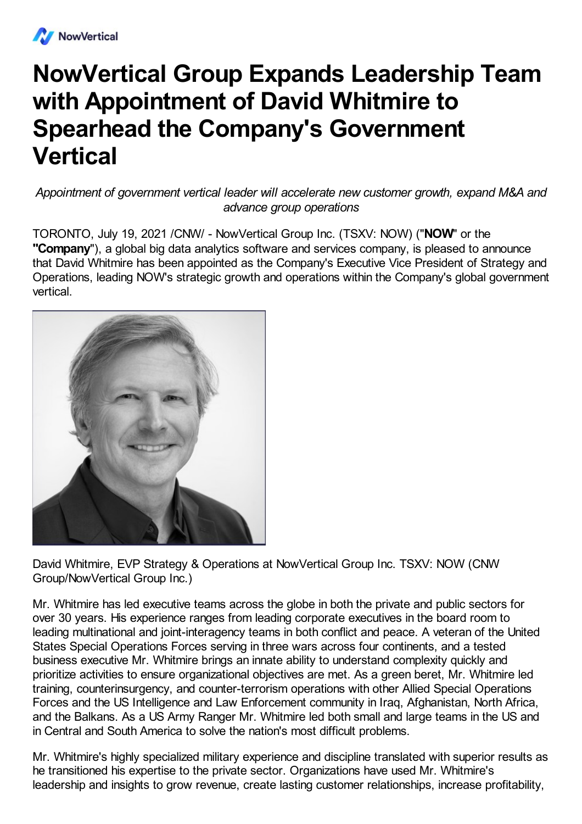

## **NowVertical Group Expands Leadership Team with Appointment of David Whitmire to Spearhead the Company's Government Vertical**

*Appointment of government vertical leader will accelerate new customer growth, expand M&A and advance group operations*

TORONTO, July 19, 2021 /CNW/ - NowVertical Group Inc. (TSXV: NOW) ("**NOW**" or the **"Company**"), a global big data analytics software and services company, is pleased to announce that David Whitmire has been appointed as the Company's Executive Vice President of Strategy and Operations, leading NOW's strategic growth and operations within the Company's global government vertical.



David Whitmire, EVP Strategy & Operations at NowVertical Group Inc. TSXV: NOW (CNW Group/NowVertical Group Inc.)

Mr. Whitmire has led executive teams across the globe in both the private and public sectors for over 30 years. His experience ranges from leading corporate executives in the board room to leading multinational and joint-interagency teams in both conflict and peace. A veteran of the United States Special Operations Forces serving in three wars across four continents, and a tested business executive Mr. Whitmire brings an innate ability to understand complexity quickly and prioritize activities to ensure organizational objectives are met. As a green beret, Mr. Whitmire led training, counterinsurgency, and counter-terrorism operations with other Allied Special Operations Forces and the US Intelligence and Law Enforcement community in Iraq, Afghanistan, North Africa, and the Balkans. As a US Army Ranger Mr. Whitmire led both small and large teams in the US and in Central and South America to solve the nation's most difficult problems.

Mr. Whitmire's highly specialized military experience and discipline translated with superior results as he transitioned his expertise to the private sector. Organizations have used Mr. Whitmire's leadership and insights to grow revenue, create lasting customer relationships, increase profitability,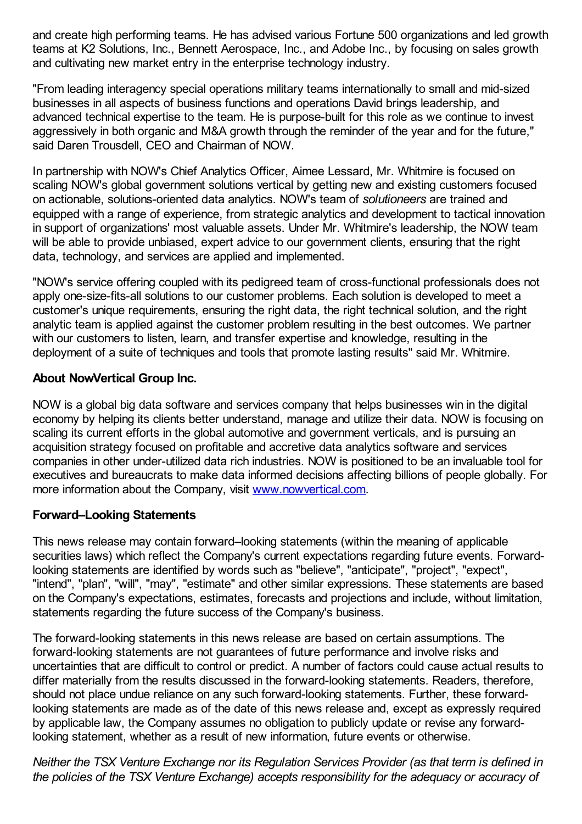and create high performing teams. He has advised various Fortune 500 organizations and led growth teams at K2 Solutions, Inc., Bennett Aerospace, Inc., and Adobe Inc., by focusing on sales growth and cultivating new market entry in the enterprise technology industry.

"From leading interagency special operations military teams internationally to small and mid-sized businesses in all aspects of business functions and operations David brings leadership, and advanced technical expertise to the team. He is purpose-built for this role as we continue to invest aggressively in both organic and M&A growth through the reminder of the year and for the future," said Daren Trousdell, CEO and Chairman of NOW.

In partnership with NOW's Chief Analytics Officer, Aimee Lessard, Mr. Whitmire is focused on scaling NOW's global government solutions vertical by getting new and existing customers focused on actionable, solutions-oriented data analytics. NOW's team of *solutioneers* are trained and equipped with a range of experience, from strategic analytics and development to tactical innovation in support of organizations' most valuable assets. Under Mr. Whitmire's leadership, the NOW team will be able to provide unbiased, expert advice to our government clients, ensuring that the right data, technology, and services are applied and implemented.

"NOW's service offering coupled with its pedigreed team of cross-functional professionals does not apply one-size-fits-all solutions to our customer problems. Each solution is developed to meet a customer's unique requirements, ensuring the right data, the right technical solution, and the right analytic team is applied against the customer problem resulting in the best outcomes. We partner with our customers to listen, learn, and transfer expertise and knowledge, resulting in the deployment of a suite of techniques and tools that promote lasting results" said Mr. Whitmire.

## **About NowVertical Group Inc.**

NOW is a global big data software and services company that helps businesses win in the digital economy by helping its clients better understand, manage and utilize their data. NOW is focusing on scaling its current efforts in the global automotive and government verticals, and is pursuing an acquisition strategy focused on profitable and accretive data analytics software and services companies in other under-utilized data rich industries. NOW is positioned to be an invaluable tool for executives and bureaucrats to make data informed decisions affecting billions of people globally. For more information about the Company, visit [www.nowvertical.com](http://www.nowvertical.com/).

## **Forward–Looking Statements**

This news release may contain forward–looking statements (within the meaning of applicable securities laws) which reflect the Company's current expectations regarding future events. Forwardlooking statements are identified by words such as "believe", "anticipate", "project", "expect", "intend", "plan", "will", "may", "estimate" and other similar expressions. These statements are based on the Company's expectations, estimates, forecasts and projections and include, without limitation, statements regarding the future success of the Company's business.

The forward-looking statements in this news release are based on certain assumptions. The forward-looking statements are not guarantees of future performance and involve risks and uncertainties that are difficult to control or predict. A number of factors could cause actual results to differ materially from the results discussed in the forward-looking statements. Readers, therefore, should not place undue reliance on any such forward-looking statements. Further, these forwardlooking statements are made as of the date of this news release and, except as expressly required by applicable law, the Company assumes no obligation to publicly update or revise any forwardlooking statement, whether as a result of new information, future events or otherwise.

*Neither the TSX Venture Exchange nor its Regulation Services Provider (as that term is defined in the policies of the TSX Venture Exchange) accepts responsibility for the adequacy or accuracy of*